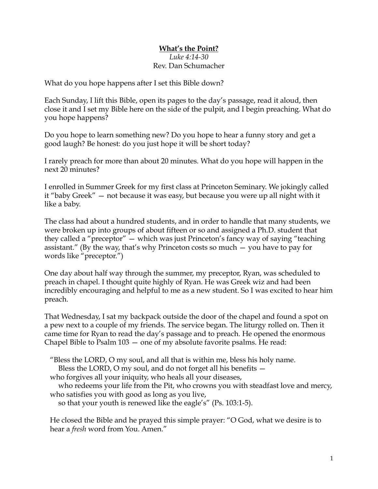## **What's the Point?**

## *Luke 4:14-30* Rev. Dan Schumacher

What do you hope happens after I set this Bible down?

Each Sunday, I lift this Bible, open its pages to the day's passage, read it aloud, then close it and I set my Bible here on the side of the pulpit, and I begin preaching. What do you hope happens?

Do you hope to learn something new? Do you hope to hear a funny story and get a good laugh? Be honest: do you just hope it will be short today?

I rarely preach for more than about 20 minutes. What do you hope will happen in the next 20 minutes?

I enrolled in Summer Greek for my first class at Princeton Seminary. We jokingly called it "baby Greek" — not because it was easy, but because you were up all night with it like a baby.

The class had about a hundred students, and in order to handle that many students, we were broken up into groups of about fifteen or so and assigned a Ph.D. student that they called a "preceptor" — which was just Princeton's fancy way of saying "teaching assistant." (By the way, that's why Princeton costs so much — you have to pay for words like "preceptor.")

One day about half way through the summer, my preceptor, Ryan, was scheduled to preach in chapel. I thought quite highly of Ryan. He was Greek wiz and had been incredibly encouraging and helpful to me as a new student. So I was excited to hear him preach.

That Wednesday, I sat my backpack outside the door of the chapel and found a spot on a pew next to a couple of my friends. The service began. The liturgy rolled on. Then it came time for Ryan to read the day's passage and to preach. He opened the enormous Chapel Bible to Psalm 103 — one of my absolute favorite psalms. He read:

"Bless the LORD, O my soul, and all that is within me, bless his holy name.

Bless the LORD, O my soul, and do not forget all his benefits —

who forgives all your iniquity, who heals all your diseases,

who redeems your life from the Pit, who crowns you with steadfast love and mercy, who satisfies you with good as long as you live,

so that your youth is renewed like the eagle's" (Ps. 103:1-5).

He closed the Bible and he prayed this simple prayer: "O God, what we desire is to hear a *fresh* word from You. Amen."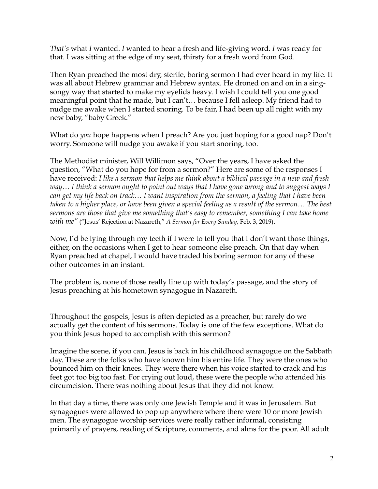*That's* what *I* wanted. *I* wanted to hear a fresh and life-giving word. *I* was ready for that. I was sitting at the edge of my seat, thirsty for a fresh word from God.

Then Ryan preached the most dry, sterile, boring sermon I had ever heard in my life. It was all about Hebrew grammar and Hebrew syntax. He droned on and on in a singsongy way that started to make my eyelids heavy. I wish I could tell you one good meaningful point that he made, but I can't… because I fell asleep. My friend had to nudge me awake when I started snoring. To be fair, I had been up all night with my new baby, "baby Greek."

What do *you* hope happens when I preach? Are you just hoping for a good nap? Don't worry. Someone will nudge you awake if you start snoring, too.

The Methodist minister, Will Willimon says, "Over the years, I have asked the question, "What do you hope for from a sermon?" Here are some of the responses I have received: *I like a sermon that helps me think about a biblical passage in a new and fresh way… I think a sermon ought to point out ways that I have gone wrong and to suggest ways I can get my life back on track… I want inspiration from the sermon, a feeling that I have been taken to a higher place, or have been given a special feeling as a result of the sermon… The best sermons are those that give me something that's easy to remember, something I can take home with me"* ("Jesus' Rejection at Nazareth," *A Sermon for Every Sunday*, Feb. 3, 2019).

Now, I'd be lying through my teeth if I were to tell you that I don't want those things, either, on the occasions when I get to hear someone else preach. On that day when Ryan preached at chapel, I would have traded his boring sermon for any of these other outcomes in an instant.

The problem is, none of those really line up with today's passage, and the story of Jesus preaching at his hometown synagogue in Nazareth.

Throughout the gospels, Jesus is often depicted as a preacher, but rarely do we actually get the content of his sermons. Today is one of the few exceptions. What do you think Jesus hoped to accomplish with this sermon?

Imagine the scene, if you can. Jesus is back in his childhood synagogue on the Sabbath day. These are the folks who have known him his entire life. They were the ones who bounced him on their knees. They were there when his voice started to crack and his feet got too big too fast. For crying out loud, these were the people who attended his circumcision. There was nothing about Jesus that they did not know.

In that day a time, there was only one Jewish Temple and it was in Jerusalem. But synagogues were allowed to pop up anywhere where there were 10 or more Jewish men. The synagogue worship services were really rather informal, consisting primarily of prayers, reading of Scripture, comments, and alms for the poor. All adult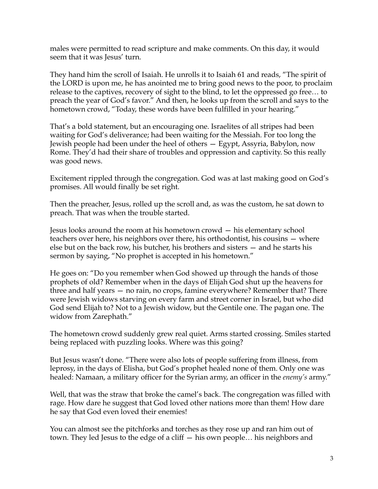males were permitted to read scripture and make comments. On this day, it would seem that it was Jesus' turn.

They hand him the scroll of Isaiah. He unrolls it to Isaiah 61 and reads, "The spirit of the LORD is upon me, he has anointed me to bring good news to the poor, to proclaim release to the captives, recovery of sight to the blind, to let the oppressed go free… to preach the year of God's favor." And then, he looks up from the scroll and says to the hometown crowd, "Today, these words have been fulfilled in your hearing."

That's a bold statement, but an encouraging one. Israelites of all stripes had been waiting for God's deliverance; had been waiting for the Messiah. For too long the Jewish people had been under the heel of others — Egypt, Assyria, Babylon, now Rome. They'd had their share of troubles and oppression and captivity. So this really was good news.

Excitement rippled through the congregation. God was at last making good on God's promises. All would finally be set right.

Then the preacher, Jesus, rolled up the scroll and, as was the custom, he sat down to preach. That was when the trouble started.

Jesus looks around the room at his hometown crowd — his elementary school teachers over here, his neighbors over there, his orthodontist, his cousins — where else but on the back row, his butcher, his brothers and sisters — and he starts his sermon by saying, "No prophet is accepted in his hometown."

He goes on: "Do you remember when God showed up through the hands of those prophets of old? Remember when in the days of Elijah God shut up the heavens for three and half years — no rain, no crops, famine everywhere? Remember that? There were Jewish widows starving on every farm and street corner in Israel, but who did God send Elijah to? Not to a Jewish widow, but the Gentile one. The pagan one. The widow from Zarephath."

The hometown crowd suddenly grew real quiet. Arms started crossing. Smiles started being replaced with puzzling looks. Where was this going?

But Jesus wasn't done. "There were also lots of people suffering from illness, from leprosy, in the days of Elisha, but God's prophet healed none of them. Only one was healed: Namaan, a military officer for the Syrian army, an officer in the *enemy's* army."

Well, that was the straw that broke the camel's back. The congregation was filled with rage. How dare he suggest that God loved other nations more than them! How dare he say that God even loved their enemies!

You can almost see the pitchforks and torches as they rose up and ran him out of town. They led Jesus to the edge of a cliff — his own people… his neighbors and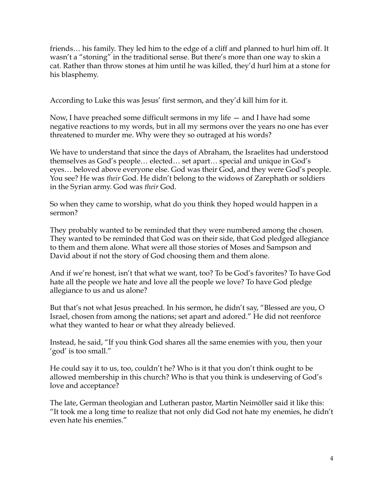friends… his family. They led him to the edge of a cliff and planned to hurl him off. It wasn't a "stoning" in the traditional sense. But there's more than one way to skin a cat. Rather than throw stones at him until he was killed, they'd hurl him at a stone for his blasphemy.

According to Luke this was Jesus' first sermon, and they'd kill him for it.

Now, I have preached some difficult sermons in my life — and I have had some negative reactions to my words, but in all my sermons over the years no one has ever threatened to murder me. Why were they so outraged at his words?

We have to understand that since the days of Abraham, the Israelites had understood themselves as God's people… elected… set apart… special and unique in God's eyes… beloved above everyone else. God was their God, and they were God's people. You see? He was *their* God. He didn't belong to the widows of Zarephath or soldiers in the Syrian army. God was *their* God.

So when they came to worship, what do you think they hoped would happen in a sermon?

They probably wanted to be reminded that they were numbered among the chosen. They wanted to be reminded that God was on their side, that God pledged allegiance to them and them alone. What were all those stories of Moses and Sampson and David about if not the story of God choosing them and them alone.

And if we're honest, isn't that what we want, too? To be God's favorites? To have God hate all the people we hate and love all the people we love? To have God pledge allegiance to us and us alone?

But that's not what Jesus preached. In his sermon, he didn't say, "Blessed are you, O Israel, chosen from among the nations; set apart and adored." He did not reenforce what they wanted to hear or what they already believed.

Instead, he said, "If you think God shares all the same enemies with you, then your 'god' is too small."

He could say it to us, too, couldn't he? Who is it that you don't think ought to be allowed membership in this church? Who is that you think is undeserving of God's love and acceptance?

The late, German theologian and Lutheran pastor, Martin Neimöller said it like this: "It took me a long time to realize that not only did God not hate my enemies, he didn't even hate his enemies."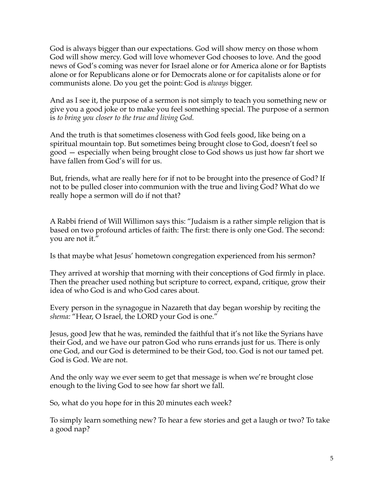God is always bigger than our expectations. God will show mercy on those whom God will show mercy. God will love whomever God chooses to love. And the good news of God's coming was never for Israel alone or for America alone or for Baptists alone or for Republicans alone or for Democrats alone or for capitalists alone or for communists alone. Do you get the point: God is *always* bigger.

And as I see it, the purpose of a sermon is not simply to teach you something new or give you a good joke or to make you feel something special. The purpose of a sermon is *to bring you closer to the true and living God.* 

And the truth is that sometimes closeness with God feels good, like being on a spiritual mountain top. But sometimes being brought close to God, doesn't feel so good — especially when being brought close to God shows us just how far short we have fallen from God's will for us.

But, friends, what are really here for if not to be brought into the presence of God? If not to be pulled closer into communion with the true and living God? What do we really hope a sermon will do if not that?

A Rabbi friend of Will Willimon says this: "Judaism is a rather simple religion that is based on two profound articles of faith: The first: there is only one God. The second: you are not it."

Is that maybe what Jesus' hometown congregation experienced from his sermon?

They arrived at worship that morning with their conceptions of God firmly in place. Then the preacher used nothing but scripture to correct, expand, critique, grow their idea of who God is and who God cares about.

Every person in the synagogue in Nazareth that day began worship by reciting the *shema:* "Hear, O Israel, the LORD your God is one."

Jesus, good Jew that he was, reminded the faithful that it's not like the Syrians have their God, and we have our patron God who runs errands just for us. There is only one God, and our God is determined to be their God, too. God is not our tamed pet. God is God. We are not.

And the only way we ever seem to get that message is when we're brought close enough to the living God to see how far short we fall.

So, what do you hope for in this 20 minutes each week?

To simply learn something new? To hear a few stories and get a laugh or two? To take a good nap?